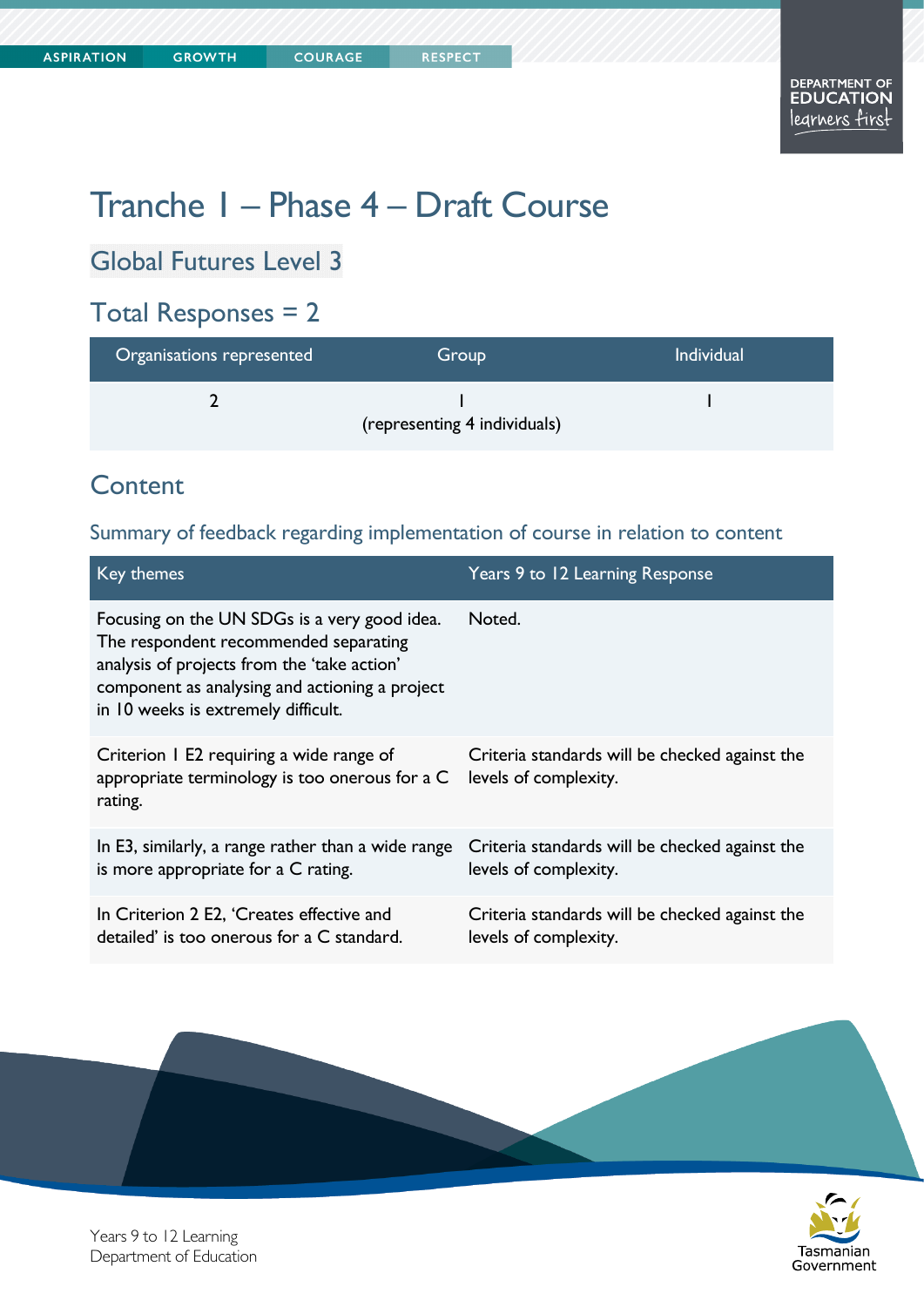Tasmanian Government

# Tranche 1 – Phase 4 – Draft Course

Global Futures Level 3

### Total Responses = 2

| Organisations represented    | Group | <b>Individual</b> |
|------------------------------|-------|-------------------|
|                              |       |                   |
| (representing 4 individuals) |       |                   |

#### **Content**

#### Summary of feedback regarding implementation of course in relation to content

| <b>Key themes</b>                                                                                                                                                                                                             | Years 9 to 12 Learning Response                                         |
|-------------------------------------------------------------------------------------------------------------------------------------------------------------------------------------------------------------------------------|-------------------------------------------------------------------------|
| Focusing on the UN SDGs is a very good idea.<br>The respondent recommended separating<br>analysis of projects from the 'take action'<br>component as analysing and actioning a project<br>in 10 weeks is extremely difficult. | Noted.                                                                  |
| Criterion 1 E2 requiring a wide range of<br>appropriate terminology is too onerous for a C<br>rating.                                                                                                                         | Criteria standards will be checked against the<br>levels of complexity. |
| In E3, similarly, a range rather than a wide range<br>is more appropriate for a C rating.                                                                                                                                     | Criteria standards will be checked against the<br>levels of complexity. |
| In Criterion 2 E2, 'Creates effective and<br>detailed' is too onerous for a C standard.                                                                                                                                       | Criteria standards will be checked against the<br>levels of complexity. |



Years 9 to 12 Learning Department of Education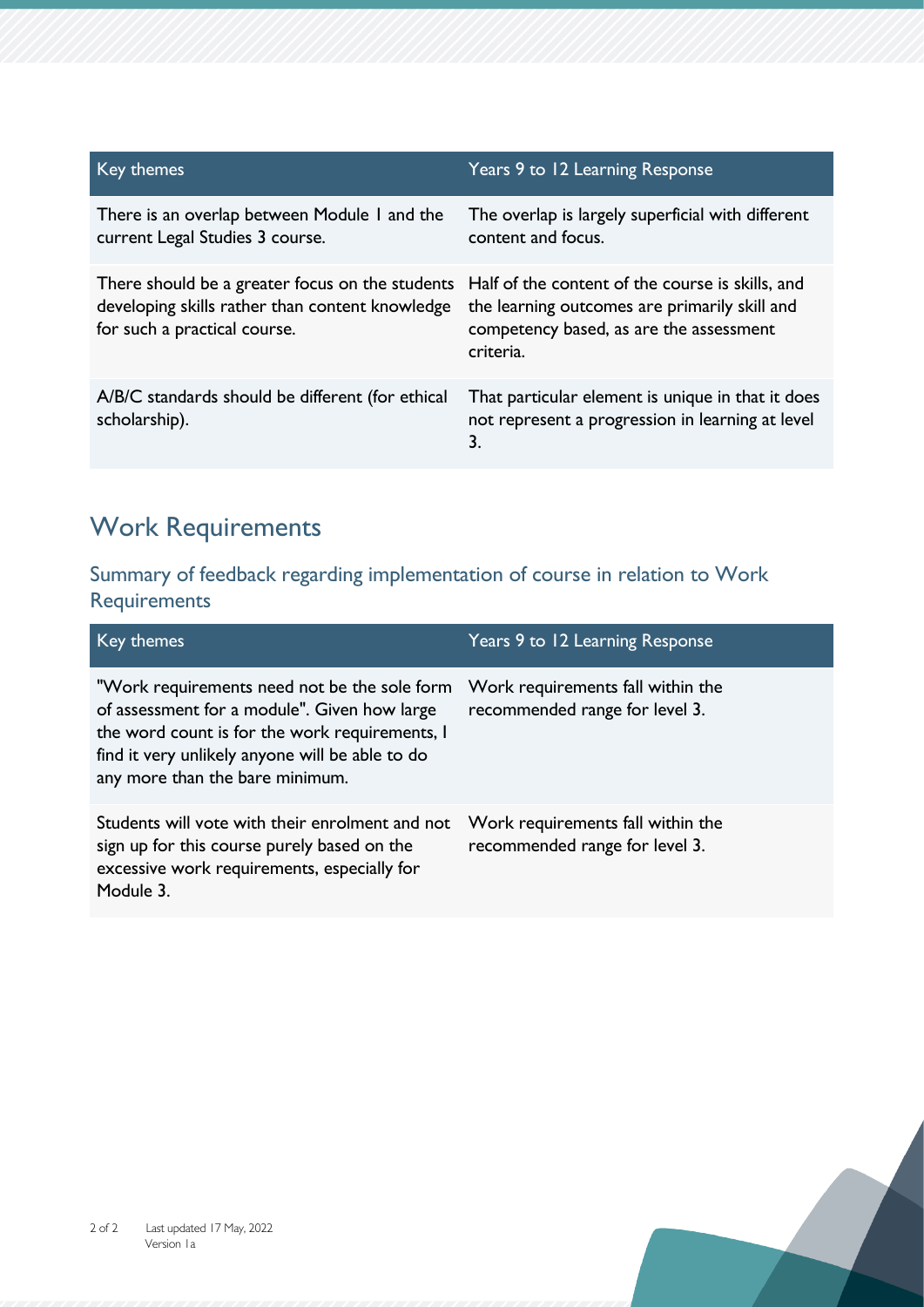| Key themes                                                                                                                         | Years 9 to 12 Learning Response                                                                                                                           |
|------------------------------------------------------------------------------------------------------------------------------------|-----------------------------------------------------------------------------------------------------------------------------------------------------------|
| There is an overlap between Module I and the<br>current Legal Studies 3 course.                                                    | The overlap is largely superficial with different<br>content and focus.                                                                                   |
| There should be a greater focus on the students<br>developing skills rather than content knowledge<br>for such a practical course. | Half of the content of the course is skills, and<br>the learning outcomes are primarily skill and<br>competency based, as are the assessment<br>criteria. |
| A/B/C standards should be different (for ethical<br>scholarship).                                                                  | That particular element is unique in that it does<br>not represent a progression in learning at level<br>3.                                               |

### Work Requirements

Summary of feedback regarding implementation of course in relation to Work **Requirements** 

| Key themes                                                                                                                                                                                                                           | Years 9 to 12 Learning Response                                     |
|--------------------------------------------------------------------------------------------------------------------------------------------------------------------------------------------------------------------------------------|---------------------------------------------------------------------|
| "Work requirements need not be the sole form<br>of assessment for a module". Given how large<br>the word count is for the work requirements, I<br>find it very unlikely anyone will be able to do<br>any more than the bare minimum. | Work requirements fall within the<br>recommended range for level 3. |
| Students will vote with their enrolment and not<br>sign up for this course purely based on the<br>excessive work requirements, especially for<br>Module 3.                                                                           | Work requirements fall within the<br>recommended range for level 3. |

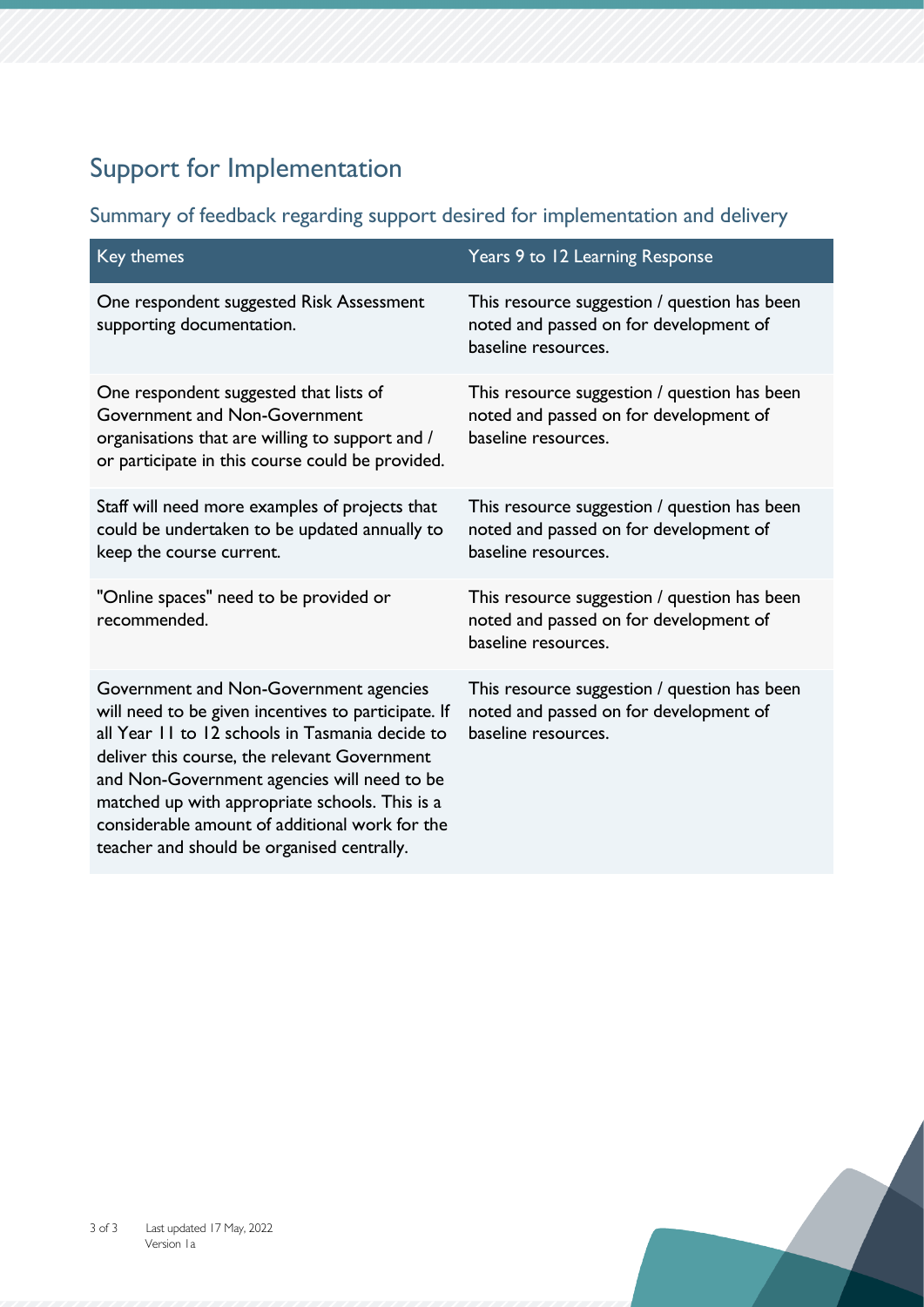## Support for Implementation

#### Summary of feedback regarding support desired for implementation and delivery

| Key themes                                                                                                                                                                                                                                                                                                                                                                                        | Years 9 to 12 Learning Response                                                                               |
|---------------------------------------------------------------------------------------------------------------------------------------------------------------------------------------------------------------------------------------------------------------------------------------------------------------------------------------------------------------------------------------------------|---------------------------------------------------------------------------------------------------------------|
| One respondent suggested Risk Assessment<br>supporting documentation.                                                                                                                                                                                                                                                                                                                             | This resource suggestion / question has been<br>noted and passed on for development of<br>baseline resources. |
| One respondent suggested that lists of<br>Government and Non-Government<br>organisations that are willing to support and /<br>or participate in this course could be provided.                                                                                                                                                                                                                    | This resource suggestion / question has been<br>noted and passed on for development of<br>baseline resources. |
| Staff will need more examples of projects that<br>could be undertaken to be updated annually to<br>keep the course current.                                                                                                                                                                                                                                                                       | This resource suggestion / question has been<br>noted and passed on for development of<br>baseline resources. |
| "Online spaces" need to be provided or<br>recommended.                                                                                                                                                                                                                                                                                                                                            | This resource suggestion / question has been<br>noted and passed on for development of<br>baseline resources. |
| Government and Non-Government agencies<br>will need to be given incentives to participate. If<br>all Year 11 to 12 schools in Tasmania decide to<br>deliver this course, the relevant Government<br>and Non-Government agencies will need to be<br>matched up with appropriate schools. This is a<br>considerable amount of additional work for the<br>teacher and should be organised centrally. | This resource suggestion / question has been<br>noted and passed on for development of<br>baseline resources. |